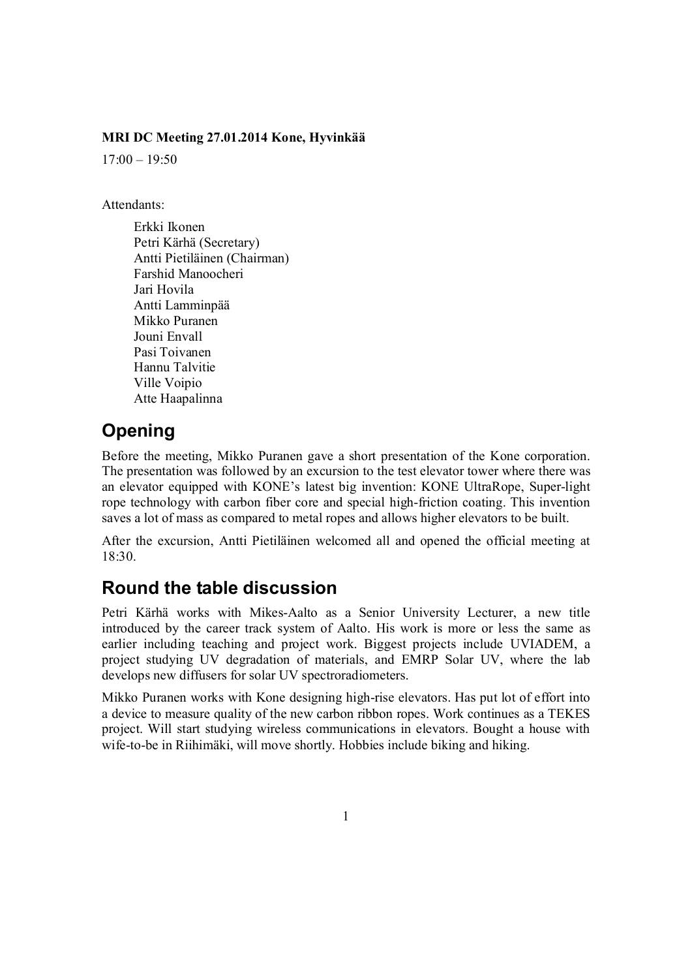#### **MRI DC Meeting 27.01.2014 Kone, Hyvinkää**

 $17:00 - 19:50$ 

Attendants:

Erkki Ikonen Petri Kärhä (Secretary) Antti Pietiläinen (Chairman) Farshid Manoocheri Jari Hovila Antti Lamminpää Mikko Puranen Jouni Envall Pasi Toivanen Hannu Talvitie Ville Voipio Atte Haapalinna

## **Opening**

Before the meeting, Mikko Puranen gave a short presentation of the Kone corporation. The presentation was followed by an excursion to the test elevator tower where there was an elevator equipped with KONE's latest big invention: KONE UltraRope, Super-light rope technology with carbon fiber core and special high-friction coating. This invention saves a lot of mass as compared to metal ropes and allows higher elevators to be built.

After the excursion, Antti Pietiläinen welcomed all and opened the official meeting at 18:30.

#### **Round the table discussion**

Petri Kärhä works with Mikes-Aalto as a Senior University Lecturer, a new title introduced by the career track system of Aalto. His work is more or less the same as earlier including teaching and project work. Biggest projects include UVIADEM, a project studying UV degradation of materials, and EMRP Solar UV, where the lab develops new diffusers for solar UV spectroradiometers.

Mikko Puranen works with Kone designing high-rise elevators. Has put lot of effort into a device to measure quality of the new carbon ribbon ropes. Work continues as a TEKES project. Will start studying wireless communications in elevators. Bought a house with wife-to-be in Riihimäki, will move shortly. Hobbies include biking and hiking.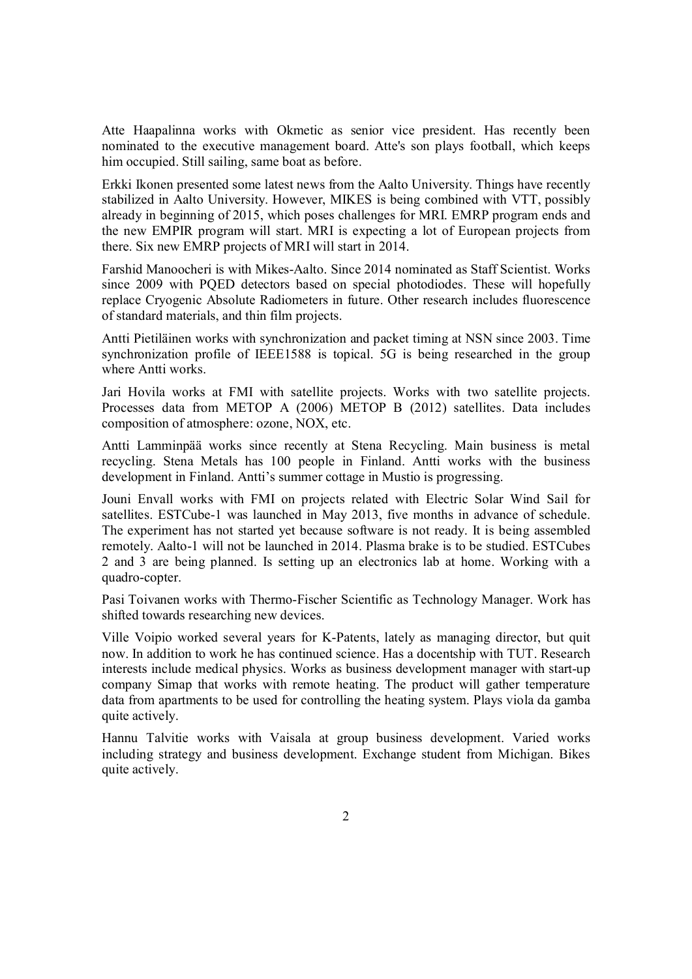Atte Haapalinna works with Okmetic as senior vice president. Has recently been nominated to the executive management board. Atte's son plays football, which keeps him occupied. Still sailing, same boat as before.

Erkki Ikonen presented some latest news from the Aalto University. Things have recently stabilized in Aalto University. However, MIKES is being combined with VTT, possibly already in beginning of 2015, which poses challenges for MRI. EMRP program ends and the new EMPIR program will start. MRI is expecting a lot of European projects from there. Six new EMRP projects of MRI will start in 2014.

Farshid Manoocheri is with Mikes-Aalto. Since 2014 nominated as Staff Scientist. Works since 2009 with PQED detectors based on special photodiodes. These will hopefully replace Cryogenic Absolute Radiometers in future. Other research includes fluorescence of standard materials, and thin film projects.

Antti Pietiläinen works with synchronization and packet timing at NSN since 2003. Time synchronization profile of IEEE1588 is topical. 5G is being researched in the group where Antti works.

Jari Hovila works at FMI with satellite projects. Works with two satellite projects. Processes data from METOP A (2006) METOP B (2012) satellites. Data includes composition of atmosphere: ozone, NOX, etc.

Antti Lamminpää works since recently at Stena Recycling. Main business is metal recycling. Stena Metals has 100 people in Finland. Antti works with the business development in Finland. Antti's summer cottage in Mustio is progressing.

Jouni Envall works with FMI on projects related with Electric Solar Wind Sail for satellites. ESTCube-1 was launched in May 2013, five months in advance of schedule. The experiment has not started yet because software is not ready. It is being assembled remotely. Aalto-1 will not be launched in 2014. Plasma brake is to be studied. ESTCubes 2 and 3 are being planned. Is setting up an electronics lab at home. Working with a quadro-copter.

Pasi Toivanen works with Thermo-Fischer Scientific as Technology Manager. Work has shifted towards researching new devices.

Ville Voipio worked several years for K-Patents, lately as managing director, but quit now. In addition to work he has continued science. Has a docentship with TUT. Research interests include medical physics. Works as business development manager with start-up company Simap that works with remote heating. The product will gather temperature data from apartments to be used for controlling the heating system. Plays viola da gamba quite actively.

Hannu Talvitie works with Vaisala at group business development. Varied works including strategy and business development. Exchange student from Michigan. Bikes quite actively.